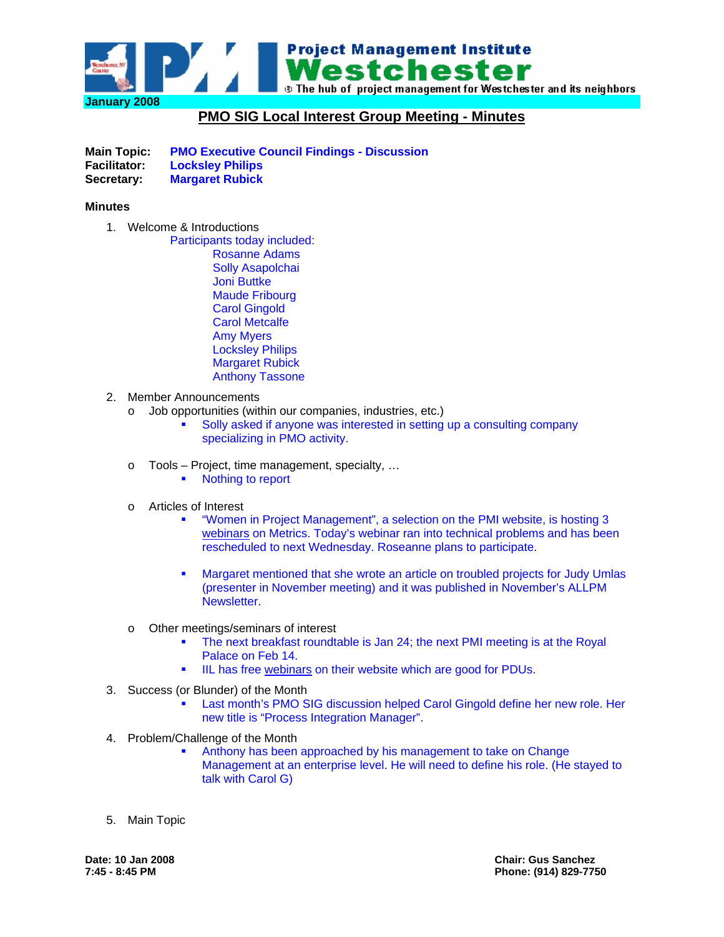

## **PMO SIG Local Interest Group Meeting - Minutes**

**Main Topic: PMO Executive Council Findings - Discussion Facilitator: Locksley Philips Secretary: Margaret Rubick** 

## **Minutes**

1. Welcome & Introductions

Participants today included: Rosanne Adams Solly Asapolchai Joni Buttke Maude Fribourg Carol Gingold Carol Metcalfe Amy Myers Locksley Philips Margaret Rubick Anthony Tassone

- 2. Member Announcements
	- o Job opportunities (within our companies, industries, etc.)
		- Solly asked if anyone was interested in setting up a consulting company specializing in PMO activity.
	- o Tools Project, time management, specialty, …
		- Nothing to report
	- o Articles of Interest
		- "Women in Project Management", a selection on the PMI website, is hosting 3 [webinars](https://metsig.org/categories.aspx?category=75&page=all) on Metrics. Today's webinar ran into technical problems and has been rescheduled to next Wednesday. Roseanne plans to participate.
		- Margaret mentioned that she wrote an article on troubled projects for Judy Umlas (presenter in November meeting) and it was published in November's ALLPM **Newsletter**
	- o Other meetings/seminars of interest
		- The next breakfast roundtable is Jan 24; the next PMI meeting is at the Royal Palace on Feb 14.
		- IIL has free [webinars](http://www.iil.com/webinars) on their website which are good for PDUs.
- 3. Success (or Blunder) of the Month
	- Last month's PMO SIG discussion helped Carol Gingold define her new role. Her new title is "Process Integration Manager".
- 4. Problem/Challenge of the Month
	- Anthony has been approached by his management to take on Change Management at an enterprise level. He will need to define his role. (He stayed to talk with Carol G)
- 5. Main Topic